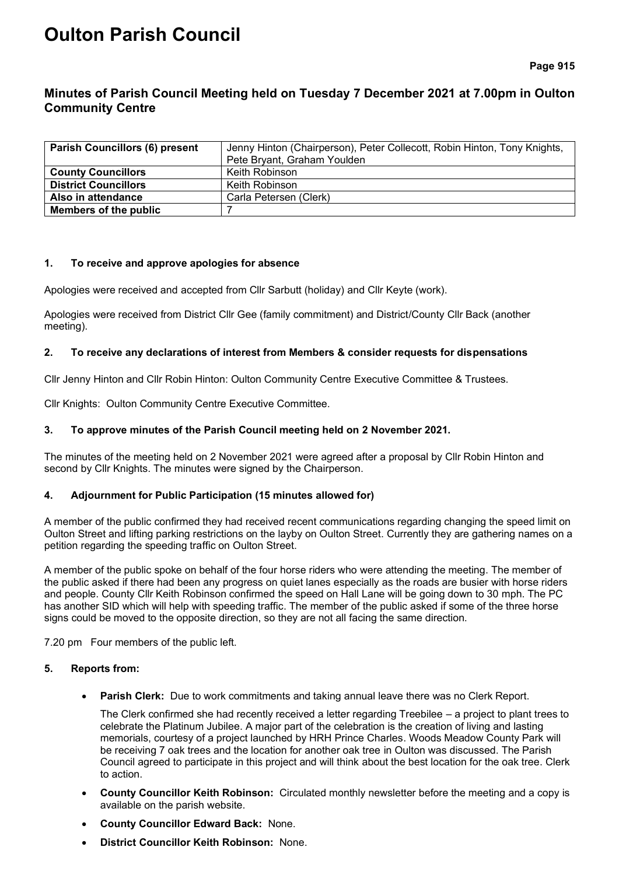# **Oulton Parish Council**

**Page 915**

## **Minutes of Parish Council Meeting held on Tuesday 7 December 2021 at 7.00pm in Oulton Community Centre**

| <b>Parish Councillors (6) present</b> | Jenny Hinton (Chairperson), Peter Collecott, Robin Hinton, Tony Knights, |  |  |
|---------------------------------------|--------------------------------------------------------------------------|--|--|
|                                       | Pete Bryant, Graham Youlden                                              |  |  |
| <b>County Councillors</b>             | Keith Robinson                                                           |  |  |
| <b>District Councillors</b>           | Keith Robinson                                                           |  |  |
| Also in attendance                    | Carla Petersen (Clerk)                                                   |  |  |
| Members of the public                 |                                                                          |  |  |

#### **1. To receive and approve apologies for absence**

Apologies were received and accepted from Cllr Sarbutt (holiday) and Cllr Keyte (work).

Apologies were received from District Cllr Gee (family commitment) and District/County Cllr Back (another meeting).

#### **2. To receive any declarations of interest from Members & consider requests for dispensations**

Cllr Jenny Hinton and Cllr Robin Hinton: Oulton Community Centre Executive Committee & Trustees.

Cllr Knights: Oulton Community Centre Executive Committee.

#### **3. To approve minutes of the Parish Council meeting held on 2 November 2021.**

The minutes of the meeting held on 2 November 2021 were agreed after a proposal by Cllr Robin Hinton and second by Cllr Knights. The minutes were signed by the Chairperson.

#### **4. Adjournment for Public Participation (15 minutes allowed for)**

A member of the public confirmed they had received recent communications regarding changing the speed limit on Oulton Street and lifting parking restrictions on the layby on Oulton Street. Currently they are gathering names on a petition regarding the speeding traffic on Oulton Street.

A member of the public spoke on behalf of the four horse riders who were attending the meeting. The member of the public asked if there had been any progress on quiet lanes especially as the roads are busier with horse riders and people. County Cllr Keith Robinson confirmed the speed on Hall Lane will be going down to 30 mph. The PC has another SID which will help with speeding traffic. The member of the public asked if some of the three horse signs could be moved to the opposite direction, so they are not all facing the same direction.

7.20 pm Four members of the public left.

#### **5. Reports from:**

**Parish Clerk:** Due to work commitments and taking annual leave there was no Clerk Report.

The Clerk confirmed she had recently received a letter regarding Treebilee – a project to plant trees to celebrate the Platinum Jubilee. A major part of the celebration is the creation of living and lasting memorials, courtesy of a project launched by HRH Prince Charles. Woods Meadow County Park will be receiving 7 oak trees and the location for another oak tree in Oulton was discussed. The Parish Council agreed to participate in this project and will think about the best location for the oak tree. Clerk to action.

- **County Councillor Keith Robinson:** Circulated monthly newsletter before the meeting and a copy is available on the parish website.
- **County Councillor Edward Back:** None.
- **District Councillor Keith Robinson:** None.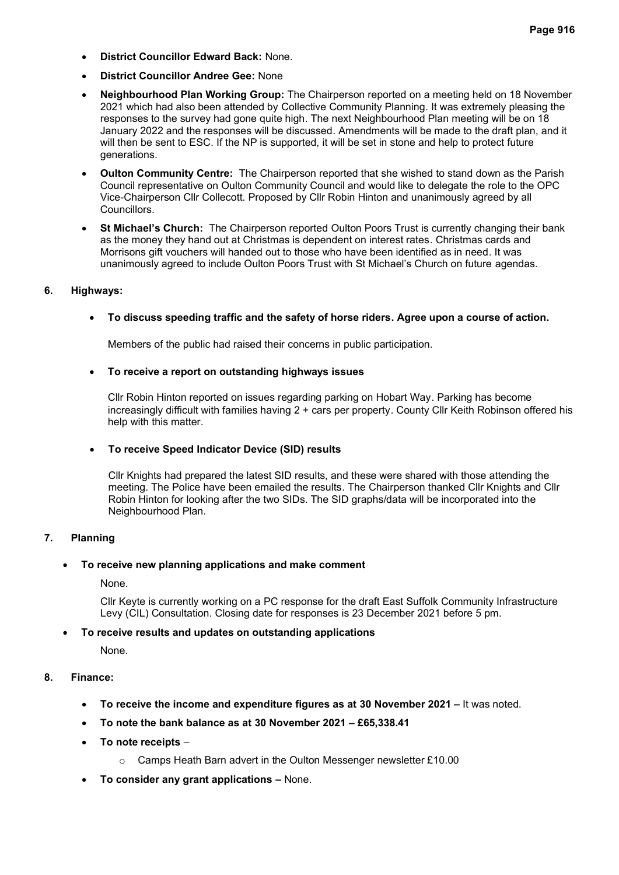- **District Councillor Edward Back:** None.
- **District Councillor Andree Gee:** None
- **Neighbourhood Plan Working Group:** The Chairperson reported on a meeting held on 18 November 2021 which had also been attended by Collective Community Planning. It was extremely pleasing the responses to the survey had gone quite high. The next Neighbourhood Plan meeting will be on 18 January 2022 and the responses will be discussed. Amendments will be made to the draft plan, and it will then be sent to ESC. If the NP is supported, it will be set in stone and help to protect future generations.
- **Oulton Community Centre:** The Chairperson reported that she wished to stand down as the Parish Council representative on Oulton Community Council and would like to delegate the role to the OPC Vice-Chairperson Cllr Collecott. Proposed by Cllr Robin Hinton and unanimously agreed by all Councillors.
- **St Michael's Church:** The Chairperson reported Oulton Poors Trust is currently changing their bank as the money they hand out at Christmas is dependent on interest rates. Christmas cards and Morrisons gift vouchers will handed out to those who have been identified as in need. It was unanimously agreed to include Oulton Poors Trust with St Michael's Church on future agendas.

## **6. Highways:**

## • **To discuss speeding traffic and the safety of horse riders. Agree upon a course of action.**

Members of the public had raised their concerns in public participation.

### • **To receive a report on outstanding highways issues**

Cllr Robin Hinton reported on issues regarding parking on Hobart Way. Parking has become increasingly difficult with families having 2 + cars per property. County Cllr Keith Robinson offered his help with this matter.

## • **To receive Speed Indicator Device (SID) results**

Cllr Knights had prepared the latest SID results, and these were shared with those attending the meeting. The Police have been emailed the results. The Chairperson thanked Cllr Knights and Cllr Robin Hinton for looking after the two SIDs. The SID graphs/data will be incorporated into the Neighbourhood Plan.

## **7. Planning**

## • **To receive new planning applications and make comment**

None.

Cllr Keyte is currently working on a PC response for the draft East Suffolk Community Infrastructure Levy (CIL) Consultation. Closing date for responses is 23 December 2021 before 5 pm.

## • **To receive results and updates on outstanding applications**

None.

## **8. Finance:**

- **To receive the income and expenditure figures as at 30 November 2021 –** It was noted.
- **To note the bank balance as at 30 November 2021 – £65,338.41**
- **To note receipts**
	- o Camps Heath Barn advert in the Oulton Messenger newsletter £10.00
- **To consider any grant applications –** None.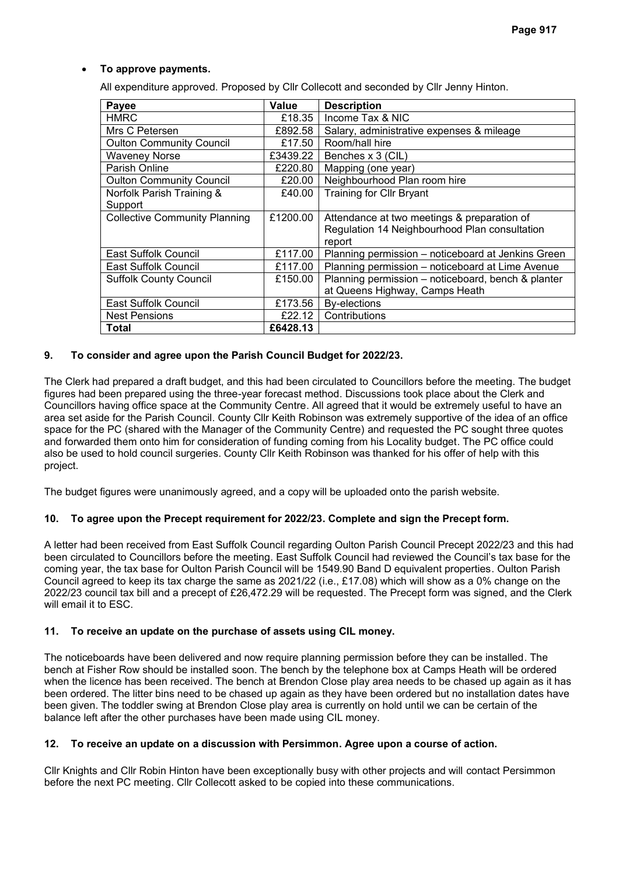## • **To approve payments.**

All expenditure approved. Proposed by Cllr Collecott and seconded by Cllr Jenny Hinton.

| Payee                                | Value    | <b>Description</b>                                 |
|--------------------------------------|----------|----------------------------------------------------|
| <b>HMRC</b>                          | £18.35   | Income Tax & NIC                                   |
| Mrs C Petersen                       | £892.58  | Salary, administrative expenses & mileage          |
| <b>Oulton Community Council</b>      | £17.50   | Room/hall hire                                     |
| <b>Waveney Norse</b>                 | £3439.22 | Benches x 3 (CIL)                                  |
| Parish Online                        | £220.80  | Mapping (one year)                                 |
| <b>Oulton Community Council</b>      | £20.00   | Neighbourhood Plan room hire                       |
| Norfolk Parish Training &            | £40.00   | <b>Training for Cllr Bryant</b>                    |
| Support                              |          |                                                    |
| <b>Collective Community Planning</b> | £1200.00 | Attendance at two meetings & preparation of        |
|                                      |          | Regulation 14 Neighbourhood Plan consultation      |
|                                      |          | report                                             |
| East Suffolk Council                 | £117.00  | Planning permission - noticeboard at Jenkins Green |
| East Suffolk Council                 | £117.00  | Planning permission – noticeboard at Lime Avenue   |
| <b>Suffolk County Council</b>        | £150.00  | Planning permission - noticeboard, bench & planter |
|                                      |          | at Queens Highway, Camps Heath                     |
| East Suffolk Council                 | £173.56  | By-elections                                       |
| <b>Nest Pensions</b>                 | £22.12   | Contributions                                      |
| Total                                | £6428.13 |                                                    |

### **9. To consider and agree upon the Parish Council Budget for 2022/23.**

The Clerk had prepared a draft budget, and this had been circulated to Councillors before the meeting. The budget figures had been prepared using the three-year forecast method. Discussions took place about the Clerk and Councillors having office space at the Community Centre. All agreed that it would be extremely useful to have an area set aside for the Parish Council. County Cllr Keith Robinson was extremely supportive of the idea of an office space for the PC (shared with the Manager of the Community Centre) and requested the PC sought three quotes and forwarded them onto him for consideration of funding coming from his Locality budget. The PC office could also be used to hold council surgeries. County Cllr Keith Robinson was thanked for his offer of help with this project.

The budget figures were unanimously agreed, and a copy will be uploaded onto the parish website.

#### **10. To agree upon the Precept requirement for 2022/23. Complete and sign the Precept form.**

A letter had been received from East Suffolk Council regarding Oulton Parish Council Precept 2022/23 and this had been circulated to Councillors before the meeting. East Suffolk Council had reviewed the Council's tax base for the coming year, the tax base for Oulton Parish Council will be 1549.90 Band D equivalent properties. Oulton Parish Council agreed to keep its tax charge the same as 2021/22 (i.e., £17.08) which will show as a 0% change on the 2022/23 council tax bill and a precept of £26,472.29 will be requested. The Precept form was signed, and the Clerk will email it to ESC.

#### **11. To receive an update on the purchase of assets using CIL money.**

The noticeboards have been delivered and now require planning permission before they can be installed. The bench at Fisher Row should be installed soon. The bench by the telephone box at Camps Heath will be ordered when the licence has been received. The bench at Brendon Close play area needs to be chased up again as it has been ordered. The litter bins need to be chased up again as they have been ordered but no installation dates have been given. The toddler swing at Brendon Close play area is currently on hold until we can be certain of the balance left after the other purchases have been made using CIL money.

#### **12. To receive an update on a discussion with Persimmon. Agree upon a course of action.**

Cllr Knights and Cllr Robin Hinton have been exceptionally busy with other projects and will contact Persimmon before the next PC meeting. Cllr Collecott asked to be copied into these communications.